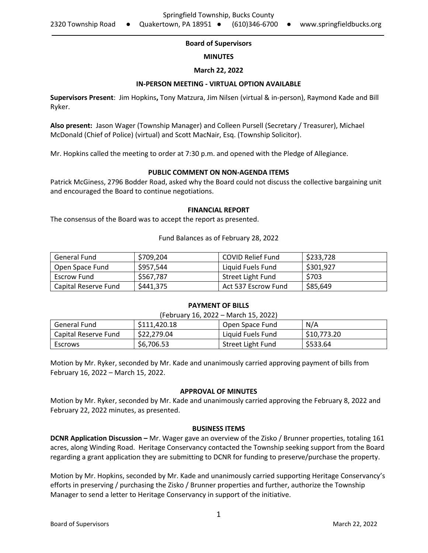## **Board of Supervisors**

### **MINUTES**

## **March 22, 2022**

### **IN-PERSON MEETING - VIRTUAL OPTION AVAILABLE**

**Supervisors Present**: Jim Hopkins**,** Tony Matzura, Jim Nilsen (virtual & in-person), Raymond Kade and Bill Ryker.

**Also present:** Jason Wager (Township Manager) and Colleen Pursell (Secretary / Treasurer), Michael McDonald (Chief of Police) (virtual) and Scott MacNair, Esq. (Township Solicitor).

Mr. Hopkins called the meeting to order at 7:30 p.m. and opened with the Pledge of Allegiance.

## **PUBLIC COMMENT ON NON-AGENDA ITEMS**

Patrick McGiness, 2796 Bodder Road, asked why the Board could not discuss the collective bargaining unit and encouraged the Board to continue negotiations.

#### **FINANCIAL REPORT**

The consensus of the Board was to accept the report as presented.

Fund Balances as of February 28, 2022

| General Fund         | \$709.204 | <b>COVID Relief Fund</b> | \$233,728 |
|----------------------|-----------|--------------------------|-----------|
| Open Space Fund      | \$957,544 | Liquid Fuels Fund        | \$301,927 |
| Escrow Fund          | \$567,787 | Street Light Fund        | \$703     |
| Capital Reserve Fund | \$441,375 | Act 537 Escrow Fund      | \$85,649  |

#### **PAYMENT OF BILLS**  $(F<sub>1</sub>, \ldots, 46, 2022, M<sub>1</sub>, \ldots, 45, 2022)$

| (February 16, 2022 – March 15, 2022) |              |                   |             |  |
|--------------------------------------|--------------|-------------------|-------------|--|
| General Fund                         | \$111,420.18 | Open Space Fund   | N/A         |  |
| Capital Reserve Fund                 | \$22,279.04  | Liquid Fuels Fund | \$10,773.20 |  |
| Escrows                              | \$6,706.53   | Street Light Fund | \$533.64    |  |

Motion by Mr. Ryker, seconded by Mr. Kade and unanimously carried approving payment of bills from February 16, 2022 – March 15, 2022.

#### **APPROVAL OF MINUTES**

Motion by Mr. Ryker, seconded by Mr. Kade and unanimously carried approving the February 8, 2022 and February 22, 2022 minutes, as presented.

#### **BUSINESS ITEMS**

**DCNR Application Discussion –** Mr. Wager gave an overview of the Zisko / Brunner properties, totaling 161 acres, along Winding Road. Heritage Conservancy contacted the Township seeking support from the Board regarding a grant application they are submitting to DCNR for funding to preserve/purchase the property.

Motion by Mr. Hopkins, seconded by Mr. Kade and unanimously carried supporting Heritage Conservancy's efforts in preserving / purchasing the Zisko / Brunner properties and further, authorize the Township Manager to send a letter to Heritage Conservancy in support of the initiative.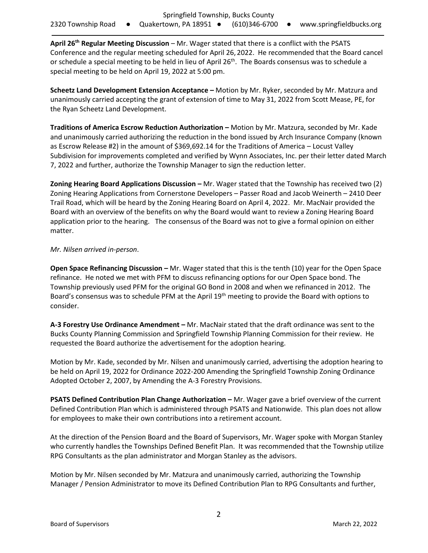**April 26th Regular Meeting Discussion** – Mr. Wager stated that there is a conflict with the PSATS Conference and the regular meeting scheduled for April 26, 2022. He recommended that the Board cancel or schedule a special meeting to be held in lieu of April  $26<sup>th</sup>$ . The Boards consensus was to schedule a special meeting to be held on April 19, 2022 at 5:00 pm.

**Scheetz Land Development Extension Acceptance –** Motion by Mr. Ryker, seconded by Mr. Matzura and unanimously carried accepting the grant of extension of time to May 31, 2022 from Scott Mease, PE, for the Ryan Scheetz Land Development.

**Traditions of America Escrow Reduction Authorization –** Motion by Mr. Matzura, seconded by Mr. Kade and unanimously carried authorizing the reduction in the bond issued by Arch Insurance Company (known as Escrow Release #2) in the amount of \$369,692.14 for the Traditions of America – Locust Valley Subdivision for improvements completed and verified by Wynn Associates, Inc. per their letter dated March 7, 2022 and further, authorize the Township Manager to sign the reduction letter.

**Zoning Hearing Board Applications Discussion –** Mr. Wager stated that the Township has received two (2) Zoning Hearing Applications from Cornerstone Developers – Passer Road and Jacob Weinerth – 2410 Deer Trail Road, which will be heard by the Zoning Hearing Board on April 4, 2022. Mr. MacNair provided the Board with an overview of the benefits on why the Board would want to review a Zoning Hearing Board application prior to the hearing. The consensus of the Board was not to give a formal opinion on either matter.

## *Mr. Nilsen arrived in-person*.

**Open Space Refinancing Discussion –** Mr. Wager stated that this is the tenth (10) year for the Open Space refinance. He noted we met with PFM to discuss refinancing options for our Open Space bond. The Township previously used PFM for the original GO Bond in 2008 and when we refinanced in 2012. The Board's consensus was to schedule PFM at the April 19<sup>th</sup> meeting to provide the Board with options to consider.

**A-3 Forestry Use Ordinance Amendment –** Mr. MacNair stated that the draft ordinance was sent to the Bucks County Planning Commission and Springfield Township Planning Commission for their review. He requested the Board authorize the advertisement for the adoption hearing.

Motion by Mr. Kade, seconded by Mr. Nilsen and unanimously carried, advertising the adoption hearing to be held on April 19, 2022 for Ordinance 2022-200 Amending the Springfield Township Zoning Ordinance Adopted October 2, 2007, by Amending the A-3 Forestry Provisions.

**PSATS Defined Contribution Plan Change Authorization –** Mr. Wager gave a brief overview of the current Defined Contribution Plan which is administered through PSATS and Nationwide. This plan does not allow for employees to make their own contributions into a retirement account.

At the direction of the Pension Board and the Board of Supervisors, Mr. Wager spoke with Morgan Stanley who currently handles the Townships Defined Benefit Plan. It was recommended that the Township utilize RPG Consultants as the plan administrator and Morgan Stanley as the advisors.

Motion by Mr. Nilsen seconded by Mr. Matzura and unanimously carried, authorizing the Township Manager / Pension Administrator to move its Defined Contribution Plan to RPG Consultants and further,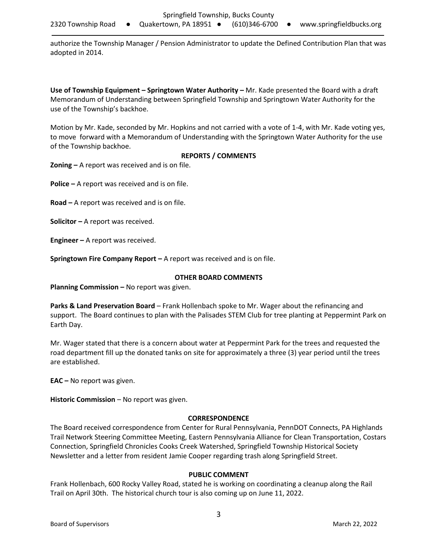authorize the Township Manager / Pension Administrator to update the Defined Contribution Plan that was adopted in 2014.

**Use of Township Equipment – Springtown Water Authority –** Mr. Kade presented the Board with a draft Memorandum of Understanding between Springfield Township and Springtown Water Authority for the use of the Township's backhoe.

Motion by Mr. Kade, seconded by Mr. Hopkins and not carried with a vote of 1-4, with Mr. Kade voting yes, to move forward with a Memorandum of Understanding with the Springtown Water Authority for the use of the Township backhoe.

## **REPORTS / COMMENTS**

**Zoning –** A report was received and is on file.

**Police –** A report was received and is on file.

**Road –** A report was received and is on file.

**Solicitor –** A report was received.

**Engineer –** A report was received.

**Springtown Fire Company Report –** A report was received and is on file.

## **OTHER BOARD COMMENTS**

**Planning Commission –** No report was given.

**Parks & Land Preservation Board** – Frank Hollenbach spoke to Mr. Wager about the refinancing and support. The Board continues to plan with the Palisades STEM Club for tree planting at Peppermint Park on Earth Day.

Mr. Wager stated that there is a concern about water at Peppermint Park for the trees and requested the road department fill up the donated tanks on site for approximately a three (3) year period until the trees are established.

**EAC –** No report was given.

**Historic Commission** – No report was given.

# **CORRESPONDENCE**

The Board received correspondence from Center for Rural Pennsylvania, PennDOT Connects, PA Highlands Trail Network Steering Committee Meeting, Eastern Pennsylvania Alliance for Clean Transportation, Costars Connection, Springfield Chronicles Cooks Creek Watershed, Springfield Township Historical Society Newsletter and a letter from resident Jamie Cooper regarding trash along Springfield Street.

## **PUBLIC COMMENT**

Frank Hollenbach, 600 Rocky Valley Road, stated he is working on coordinating a cleanup along the Rail Trail on April 30th. The historical church tour is also coming up on June 11, 2022.